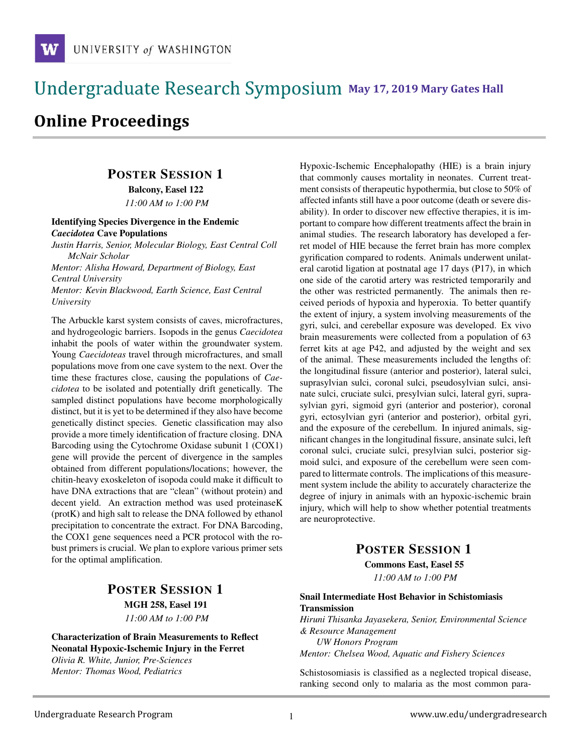# **May 17, 2019 Mary Gates Hall** Ĭ

# **Online Proceedings**

## POSTER SESSION 1

Balcony, Easel 122 *11:00 AM to 1:00 PM*

### Identifying Species Divergence in the Endemic *Caecidotea* Cave Populations

*Justin Harris, Senior, Molecular Biology, East Central Coll McNair Scholar*

*Mentor: Alisha Howard, Department of Biology, East Central University*

*Mentor: Kevin Blackwood, Earth Science, East Central University*

The Arbuckle karst system consists of caves, microfractures, and hydrogeologic barriers. Isopods in the genus *Caecidotea* inhabit the pools of water within the groundwater system. Young *Caecidoteas* travel through microfractures, and small populations move from one cave system to the next. Over the time these fractures close, causing the populations of *Caecidotea* to be isolated and potentially drift genetically. The sampled distinct populations have become morphologically distinct, but it is yet to be determined if they also have become genetically distinct species. Genetic classification may also provide a more timely identification of fracture closing. DNA Barcoding using the Cytochrome Oxidase subunit 1 (COX1) gene will provide the percent of divergence in the samples obtained from different populations/locations; however, the chitin-heavy exoskeleton of isopoda could make it difficult to have DNA extractions that are "clean" (without protein) and decent yield. An extraction method was used proteinaseK (protK) and high salt to release the DNA followed by ethanol precipitation to concentrate the extract. For DNA Barcoding, the COX1 gene sequences need a PCR protocol with the robust primers is crucial. We plan to explore various primer sets for the optimal amplification.

# POSTER SESSION 1 MGH 258, Easel 191 *11:00 AM to 1:00 PM*

Characterization of Brain Measurements to Reflect Neonatal Hypoxic-Ischemic Injury in the Ferret *Olivia R. White, Junior, Pre-Sciences Mentor: Thomas Wood, Pediatrics*

Hypoxic-Ischemic Encephalopathy (HIE) is a brain injury that commonly causes mortality in neonates. Current treatment consists of therapeutic hypothermia, but close to 50% of affected infants still have a poor outcome (death or severe disability). In order to discover new effective therapies, it is important to compare how different treatments affect the brain in animal studies. The research laboratory has developed a ferret model of HIE because the ferret brain has more complex gyrification compared to rodents. Animals underwent unilateral carotid ligation at postnatal age 17 days (P17), in which one side of the carotid artery was restricted temporarily and the other was restricted permanently. The animals then received periods of hypoxia and hyperoxia. To better quantify the extent of injury, a system involving measurements of the gyri, sulci, and cerebellar exposure was developed. Ex vivo brain measurements were collected from a population of 63 ferret kits at age P42, and adjusted by the weight and sex of the animal. These measurements included the lengths of: the longitudinal fissure (anterior and posterior), lateral sulci, suprasylvian sulci, coronal sulci, pseudosylvian sulci, ansinate sulci, cruciate sulci, presylvian sulci, lateral gyri, suprasylvian gyri, sigmoid gyri (anterior and posterior), coronal gyri, ectosylvian gyri (anterior and posterior), orbital gyri, and the exposure of the cerebellum. In injured animals, significant changes in the longitudinal fissure, ansinate sulci, left coronal sulci, cruciate sulci, presylvian sulci, posterior sigmoid sulci, and exposure of the cerebellum were seen compared to littermate controls. The implications of this measurement system include the ability to accurately characterize the degree of injury in animals with an hypoxic-ischemic brain injury, which will help to show whether potential treatments are neuroprotective.

# POSTER SESSION 1

Commons East, Easel 55 *11:00 AM to 1:00 PM*

### Snail Intermediate Host Behavior in Schistomiasis Transmission

*Hiruni Thisanka Jayasekera, Senior, Environmental Science & Resource Management UW Honors Program Mentor: Chelsea Wood, Aquatic and Fishery Sciences*

Schistosomiasis is classified as a neglected tropical disease, ranking second only to malaria as the most common para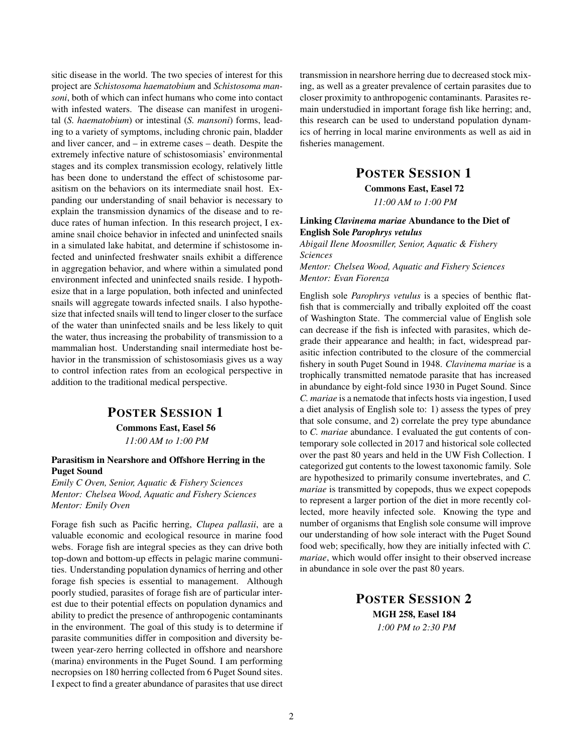sitic disease in the world. The two species of interest for this project are *Schistosoma haematobium* and *Schistosoma mansoni*, both of which can infect humans who come into contact with infested waters. The disease can manifest in urogenital (*S. haematobium*) or intestinal (*S. mansoni*) forms, leading to a variety of symptoms, including chronic pain, bladder and liver cancer, and – in extreme cases – death. Despite the extremely infective nature of schistosomiasis' environmental stages and its complex transmission ecology, relatively little has been done to understand the effect of schistosome parasitism on the behaviors on its intermediate snail host. Expanding our understanding of snail behavior is necessary to explain the transmission dynamics of the disease and to reduce rates of human infection. In this research project, I examine snail choice behavior in infected and uninfected snails in a simulated lake habitat, and determine if schistosome infected and uninfected freshwater snails exhibit a difference in aggregation behavior, and where within a simulated pond environment infected and uninfected snails reside. I hypothesize that in a large population, both infected and uninfected snails will aggregate towards infected snails. I also hypothesize that infected snails will tend to linger closer to the surface of the water than uninfected snails and be less likely to quit the water, thus increasing the probability of transmission to a mammalian host. Understanding snail intermediate host behavior in the transmission of schistosomiasis gives us a way to control infection rates from an ecological perspective in addition to the traditional medical perspective.

### POSTER SESSION 1 Commons East, Easel 56 *11:00 AM to 1:00 PM*

#### Parasitism in Nearshore and Offshore Herring in the Puget Sound

*Emily C Oven, Senior, Aquatic & Fishery Sciences Mentor: Chelsea Wood, Aquatic and Fishery Sciences Mentor: Emily Oven*

Forage fish such as Pacific herring, *Clupea pallasii*, are a valuable economic and ecological resource in marine food webs. Forage fish are integral species as they can drive both top-down and bottom-up effects in pelagic marine communities. Understanding population dynamics of herring and other forage fish species is essential to management. Although poorly studied, parasites of forage fish are of particular interest due to their potential effects on population dynamics and ability to predict the presence of anthropogenic contaminants in the environment. The goal of this study is to determine if parasite communities differ in composition and diversity between year-zero herring collected in offshore and nearshore (marina) environments in the Puget Sound. I am performing necropsies on 180 herring collected from 6 Puget Sound sites. I expect to find a greater abundance of parasites that use direct transmission in nearshore herring due to decreased stock mixing, as well as a greater prevalence of certain parasites due to closer proximity to anthropogenic contaminants. Parasites remain understudied in important forage fish like herring; and, this research can be used to understand population dynamics of herring in local marine environments as well as aid in fisheries management.

### POSTER SESSION 1

Commons East, Easel 72 *11:00 AM to 1:00 PM*

### Linking *Clavinema mariae* Abundance to the Diet of English Sole *Parophrys vetulus*

*Abigail Ilene Moosmiller, Senior, Aquatic & Fishery Sciences*

*Mentor: Chelsea Wood, Aquatic and Fishery Sciences Mentor: Evan Fiorenza*

English sole *Parophrys vetulus* is a species of benthic flatfish that is commercially and tribally exploited off the coast of Washington State. The commercial value of English sole can decrease if the fish is infected with parasites, which degrade their appearance and health; in fact, widespread parasitic infection contributed to the closure of the commercial fishery in south Puget Sound in 1948. *Clavinema mariae* is a trophically transmitted nematode parasite that has increased in abundance by eight-fold since 1930 in Puget Sound. Since *C. mariae* is a nematode that infects hosts via ingestion, I used a diet analysis of English sole to: 1) assess the types of prey that sole consume, and 2) correlate the prey type abundance to *C. mariae* abundance. I evaluated the gut contents of contemporary sole collected in 2017 and historical sole collected over the past 80 years and held in the UW Fish Collection. I categorized gut contents to the lowest taxonomic family. Sole are hypothesized to primarily consume invertebrates, and *C. mariae* is transmitted by copepods, thus we expect copepods to represent a larger portion of the diet in more recently collected, more heavily infected sole. Knowing the type and number of organisms that English sole consume will improve our understanding of how sole interact with the Puget Sound food web; specifically, how they are initially infected with *C. mariae*, which would offer insight to their observed increase in abundance in sole over the past 80 years.

> POSTER SESSION 2 MGH 258, Easel 184 *1:00 PM to 2:30 PM*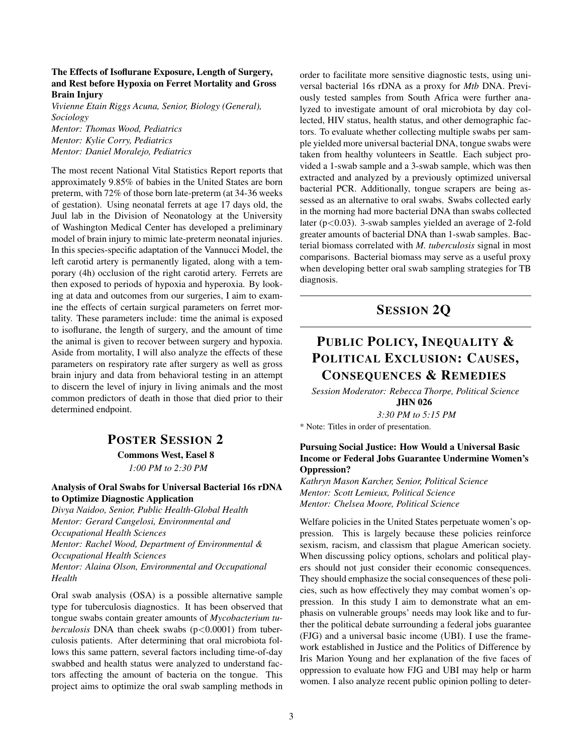### The Effects of Isoflurane Exposure, Length of Surgery, and Rest before Hypoxia on Ferret Mortality and Gross Brain Injury

*Vivienne Etain Riggs Acuna, Senior, Biology (General), Sociology Mentor: Thomas Wood, Pediatrics Mentor: Kylie Corry, Pediatrics Mentor: Daniel Moralejo, Pediatrics*

The most recent National Vital Statistics Report reports that approximately 9.85% of babies in the United States are born preterm, with 72% of those born late-preterm (at 34-36 weeks of gestation). Using neonatal ferrets at age 17 days old, the Juul lab in the Division of Neonatology at the University of Washington Medical Center has developed a preliminary model of brain injury to mimic late-preterm neonatal injuries. In this species-specific adaptation of the Vannucci Model, the left carotid artery is permanently ligated, along with a temporary (4h) occlusion of the right carotid artery. Ferrets are then exposed to periods of hypoxia and hyperoxia. By looking at data and outcomes from our surgeries, I aim to examine the effects of certain surgical parameters on ferret mortality. These parameters include: time the animal is exposed to isoflurane, the length of surgery, and the amount of time the animal is given to recover between surgery and hypoxia. Aside from mortality, I will also analyze the effects of these parameters on respiratory rate after surgery as well as gross brain injury and data from behavioral testing in an attempt to discern the level of injury in living animals and the most common predictors of death in those that died prior to their determined endpoint.

## POSTER SESSION 2

Commons West, Easel 8 *1:00 PM to 2:30 PM*

Analysis of Oral Swabs for Universal Bacterial 16s rDNA to Optimize Diagnostic Application

*Divya Naidoo, Senior, Public Health-Global Health Mentor: Gerard Cangelosi, Environmental and Occupational Health Sciences Mentor: Rachel Wood, Department of Environmental & Occupational Health Sciences Mentor: Alaina Olson, Environmental and Occupational Health*

Oral swab analysis (OSA) is a possible alternative sample type for tuberculosis diagnostics. It has been observed that tongue swabs contain greater amounts of *Mycobacterium tuberculosis* DNA than cheek swabs (p<0.0001) from tuberculosis patients. After determining that oral microbiota follows this same pattern, several factors including time-of-day swabbed and health status were analyzed to understand factors affecting the amount of bacteria on the tongue. This project aims to optimize the oral swab sampling methods in order to facilitate more sensitive diagnostic tests, using universal bacterial 16s rDNA as a proxy for *Mtb* DNA. Previously tested samples from South Africa were further analyzed to investigate amount of oral microbiota by day collected, HIV status, health status, and other demographic factors. To evaluate whether collecting multiple swabs per sample yielded more universal bacterial DNA, tongue swabs were taken from healthy volunteers in Seattle. Each subject provided a 1-swab sample and a 3-swab sample, which was then extracted and analyzed by a previously optimized universal bacterial PCR. Additionally, tongue scrapers are being assessed as an alternative to oral swabs. Swabs collected early in the morning had more bacterial DNA than swabs collected later ( $p < 0.03$ ). 3-swab samples yielded an average of 2-fold greater amounts of bacterial DNA than 1-swab samples. Bacterial biomass correlated with *M. tuberculosis* signal in most comparisons. Bacterial biomass may serve as a useful proxy when developing better oral swab sampling strategies for TB diagnosis.

# SESSION 2Q

# PUBLIC POLICY, INEQUALITY & POLITICAL EXCLUSION: CAUSES, CONSEQUENCES & REMEDIES

*Session Moderator: Rebecca Thorpe, Political Science* JHN 026

*3:30 PM to 5:15 PM*

\* Note: Titles in order of presentation.

### Pursuing Social Justice: How Would a Universal Basic Income or Federal Jobs Guarantee Undermine Women's Oppression?

*Kathryn Mason Karcher, Senior, Political Science Mentor: Scott Lemieux, Political Science Mentor: Chelsea Moore, Political Science*

Welfare policies in the United States perpetuate women's oppression. This is largely because these policies reinforce sexism, racism, and classism that plague American society. When discussing policy options, scholars and political players should not just consider their economic consequences. They should emphasize the social consequences of these policies, such as how effectively they may combat women's oppression. In this study I aim to demonstrate what an emphasis on vulnerable groups' needs may look like and to further the political debate surrounding a federal jobs guarantee (FJG) and a universal basic income (UBI). I use the framework established in Justice and the Politics of Difference by Iris Marion Young and her explanation of the five faces of oppression to evaluate how FJG and UBI may help or harm women. I also analyze recent public opinion polling to deter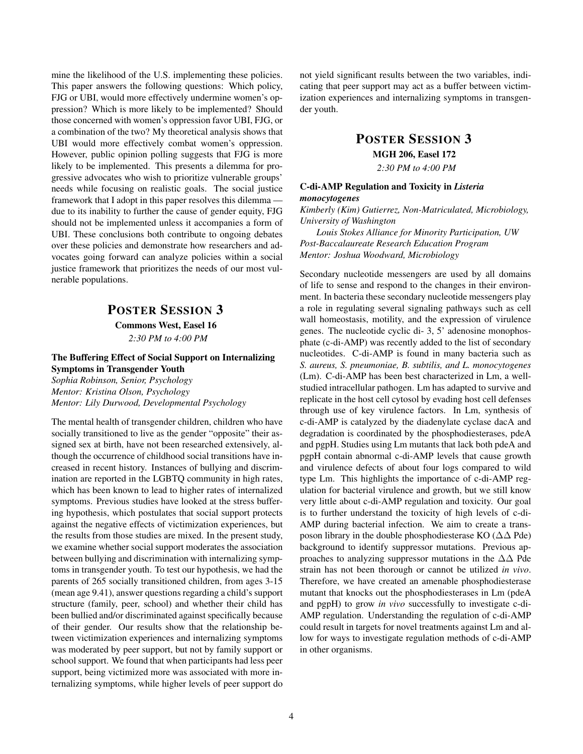mine the likelihood of the U.S. implementing these policies. This paper answers the following questions: Which policy, FJG or UBI, would more effectively undermine women's oppression? Which is more likely to be implemented? Should those concerned with women's oppression favor UBI, FJG, or a combination of the two? My theoretical analysis shows that UBI would more effectively combat women's oppression. However, public opinion polling suggests that FJG is more likely to be implemented. This presents a dilemma for progressive advocates who wish to prioritize vulnerable groups' needs while focusing on realistic goals. The social justice framework that I adopt in this paper resolves this dilemma due to its inability to further the cause of gender equity, FJG should not be implemented unless it accompanies a form of UBI. These conclusions both contribute to ongoing debates over these policies and demonstrate how researchers and advocates going forward can analyze policies within a social justice framework that prioritizes the needs of our most vulnerable populations.

# POSTER SESSION 3

Commons West, Easel 16

*2:30 PM to 4:00 PM*

### The Buffering Effect of Social Support on Internalizing Symptoms in Transgender Youth

*Sophia Robinson, Senior, Psychology Mentor: Kristina Olson, Psychology Mentor: Lily Durwood, Developmental Psychology*

The mental health of transgender children, children who have socially transitioned to live as the gender "opposite" their assigned sex at birth, have not been researched extensively, although the occurrence of childhood social transitions have increased in recent history. Instances of bullying and discrimination are reported in the LGBTQ community in high rates, which has been known to lead to higher rates of internalized symptoms. Previous studies have looked at the stress buffering hypothesis, which postulates that social support protects against the negative effects of victimization experiences, but the results from those studies are mixed. In the present study, we examine whether social support moderates the association between bullying and discrimination with internalizing symptoms in transgender youth. To test our hypothesis, we had the parents of 265 socially transitioned children, from ages 3-15 (mean age 9.41), answer questions regarding a child's support structure (family, peer, school) and whether their child has been bullied and/or discriminated against specifically because of their gender. Our results show that the relationship between victimization experiences and internalizing symptoms was moderated by peer support, but not by family support or school support. We found that when participants had less peer support, being victimized more was associated with more internalizing symptoms, while higher levels of peer support do not yield significant results between the two variables, indicating that peer support may act as a buffer between victimization experiences and internalizing symptoms in transgender youth.

### POSTER SESSION 3

MGH 206, Easel 172

*2:30 PM to 4:00 PM*

#### C-di-AMP Regulation and Toxicity in *Listeria monocytogenes*

*Kimberly (Kim) Gutierrez, Non-Matriculated, Microbiology, University of Washington*

*Louis Stokes Alliance for Minority Participation, UW Post-Baccalaureate Research Education Program Mentor: Joshua Woodward, Microbiology*

Secondary nucleotide messengers are used by all domains of life to sense and respond to the changes in their environment. In bacteria these secondary nucleotide messengers play a role in regulating several signaling pathways such as cell wall homeostasis, motility, and the expression of virulence genes. The nucleotide cyclic di- 3, 5' adenosine monophosphate (c-di-AMP) was recently added to the list of secondary nucleotides. C-di-AMP is found in many bacteria such as *S. aureus, S. pneumoniae, B. subtilis, and L. monocytogenes* (Lm). C-di-AMP has been best characterized in Lm, a wellstudied intracellular pathogen. Lm has adapted to survive and replicate in the host cell cytosol by evading host cell defenses through use of key virulence factors. In Lm, synthesis of c-di-AMP is catalyzed by the diadenylate cyclase dacA and degradation is coordinated by the phosphodiesterases, pdeA and pgpH. Studies using Lm mutants that lack both pdeA and pgpH contain abnormal c-di-AMP levels that cause growth and virulence defects of about four logs compared to wild type Lm. This highlights the importance of c-di-AMP regulation for bacterial virulence and growth, but we still know very little about c-di-AMP regulation and toxicity. Our goal is to further understand the toxicity of high levels of c-di-AMP during bacterial infection. We aim to create a transposon library in the double phosphodiesterase KO ( $\Delta\Delta$  Pde) background to identify suppressor mutations. Previous approaches to analyzing suppressor mutations in the ∆∆ Pde strain has not been thorough or cannot be utilized *in vivo*. Therefore, we have created an amenable phosphodiesterase mutant that knocks out the phosphodiesterases in Lm (pdeA and pgpH) to grow *in vivo* successfully to investigate c-di-AMP regulation. Understanding the regulation of c-di-AMP could result in targets for novel treatments against Lm and allow for ways to investigate regulation methods of c-di-AMP in other organisms.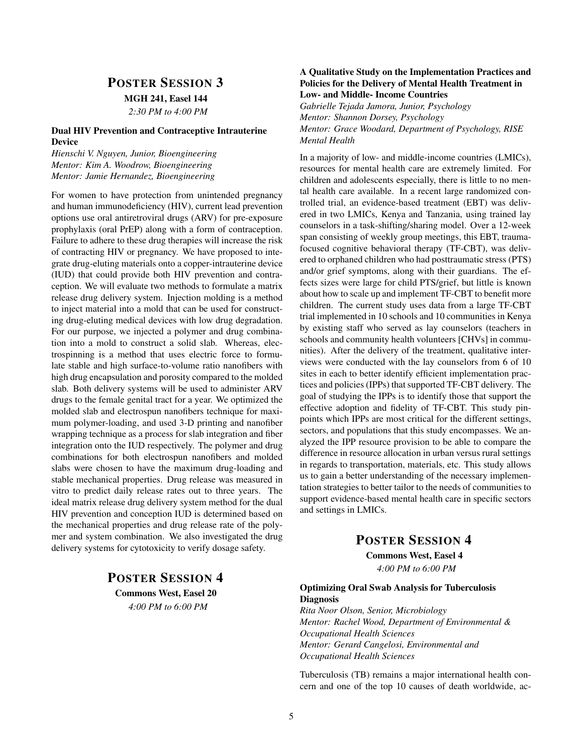### POSTER SESSION 3 MGH 241, Easel 144 *2:30 PM to 4:00 PM*

#### Dual HIV Prevention and Contraceptive Intrauterine Device

*Hienschi V. Nguyen, Junior, Bioengineering Mentor: Kim A. Woodrow, Bioengineering Mentor: Jamie Hernandez, Bioengineering*

For women to have protection from unintended pregnancy and human immunodeficiency (HIV), current lead prevention options use oral antiretroviral drugs (ARV) for pre-exposure prophylaxis (oral PrEP) along with a form of contraception. Failure to adhere to these drug therapies will increase the risk of contracting HIV or pregnancy. We have proposed to integrate drug-eluting materials onto a copper-intrauterine device (IUD) that could provide both HIV prevention and contraception. We will evaluate two methods to formulate a matrix release drug delivery system. Injection molding is a method to inject material into a mold that can be used for constructing drug-eluting medical devices with low drug degradation. For our purpose, we injected a polymer and drug combination into a mold to construct a solid slab. Whereas, electrospinning is a method that uses electric force to formulate stable and high surface-to-volume ratio nanofibers with high drug encapsulation and porosity compared to the molded slab. Both delivery systems will be used to administer ARV drugs to the female genital tract for a year. We optimized the molded slab and electrospun nanofibers technique for maximum polymer-loading, and used 3-D printing and nanofiber wrapping technique as a process for slab integration and fiber integration onto the IUD respectively. The polymer and drug combinations for both electrospun nanofibers and molded slabs were chosen to have the maximum drug-loading and stable mechanical properties. Drug release was measured in vitro to predict daily release rates out to three years. The ideal matrix release drug delivery system method for the dual HIV prevention and conception IUD is determined based on the mechanical properties and drug release rate of the polymer and system combination. We also investigated the drug delivery systems for cytotoxicity to verify dosage safety.

## POSTER SESSION 4 Commons West, Easel 20 *4:00 PM to 6:00 PM*

### A Qualitative Study on the Implementation Practices and Policies for the Delivery of Mental Health Treatment in Low- and Middle- Income Countries

*Gabrielle Tejada Jamora, Junior, Psychology Mentor: Shannon Dorsey, Psychology Mentor: Grace Woodard, Department of Psychology, RISE Mental Health*

In a majority of low- and middle-income countries (LMICs), resources for mental health care are extremely limited. For children and adolescents especially, there is little to no mental health care available. In a recent large randomized controlled trial, an evidence-based treatment (EBT) was delivered in two LMICs, Kenya and Tanzania, using trained lay counselors in a task-shifting/sharing model. Over a 12-week span consisting of weekly group meetings, this EBT, traumafocused cognitive behavioral therapy (TF-CBT), was delivered to orphaned children who had posttraumatic stress (PTS) and/or grief symptoms, along with their guardians. The effects sizes were large for child PTS/grief, but little is known about how to scale up and implement TF-CBT to benefit more children. The current study uses data from a large TF-CBT trial implemented in 10 schools and 10 communities in Kenya by existing staff who served as lay counselors (teachers in schools and community health volunteers [CHVs] in communities). After the delivery of the treatment, qualitative interviews were conducted with the lay counselors from 6 of 10 sites in each to better identify efficient implementation practices and policies (IPPs) that supported TF-CBT delivery. The goal of studying the IPPs is to identify those that support the effective adoption and fidelity of TF-CBT. This study pinpoints which IPPs are most critical for the different settings, sectors, and populations that this study encompasses. We analyzed the IPP resource provision to be able to compare the difference in resource allocation in urban versus rural settings in regards to transportation, materials, etc. This study allows us to gain a better understanding of the necessary implementation strategies to better tailor to the needs of communities to support evidence-based mental health care in specific sectors and settings in LMICs.

# POSTER SESSION 4

Commons West, Easel 4

*4:00 PM to 6:00 PM*

#### Optimizing Oral Swab Analysis for Tuberculosis **Diagnosis**

*Rita Noor Olson, Senior, Microbiology Mentor: Rachel Wood, Department of Environmental & Occupational Health Sciences Mentor: Gerard Cangelosi, Environmental and Occupational Health Sciences*

Tuberculosis (TB) remains a major international health concern and one of the top 10 causes of death worldwide, ac